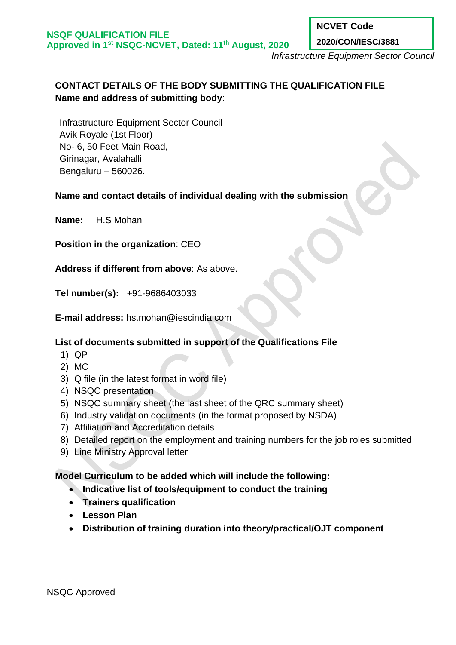**NCVET Code**

**2020/CON/IESC/3881**

*Infrastructure Equipment Sector Council*

# **CONTACT DETAILS OF THE BODY SUBMITTING THE QUALIFICATION FILE Name and address of submitting body**:

Infrastructure Equipment Sector Council Avik Royale (1st Floor) No- 6, 50 Feet Main Road, Girinagar, Avalahalli Bengaluru – 560026.

## **Name and contact details of individual dealing with the submission**

**Name:** H.S Mohan

**Position in the organization**: CEO

**Address if different from above**: As above.

**Tel number(s):** +91-9686403033

**E-mail address:** hs.mohan@iescindia.com

## **List of documents submitted in support of the Qualifications File**

- 1) QP
- 2) MC
- 3) Q file (in the latest format in word file)
- 4) NSQC presentation
- 5) NSQC summary sheet (the last sheet of the QRC summary sheet)
- 6) Industry validation documents (in the format proposed by NSDA)
- 7) Affiliation and Accreditation details
- 8) Detailed report on the employment and training numbers for the job roles submitted
- 9) Line Ministry Approval letter

## **Model Curriculum to be added which will include the following:**

- **Indicative list of tools/equipment to conduct the training**
- **Trainers qualification**
- **Lesson Plan**
- **Distribution of training duration into theory/practical/OJT component**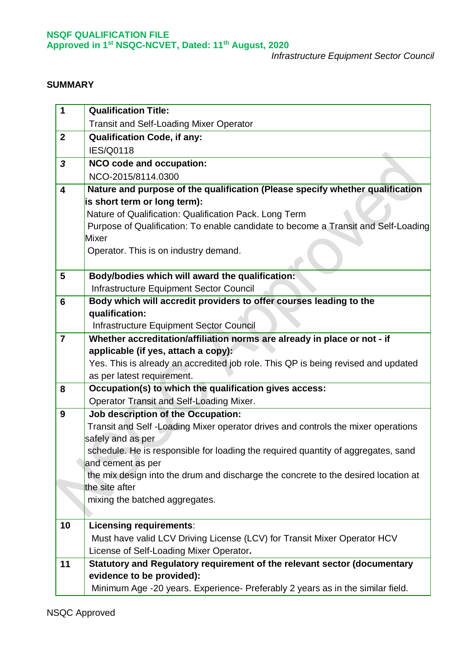*Infrastructure Equipment Sector Council*

### **SUMMARY**

| 1                       | <b>Qualification Title:</b>                                                                            |
|-------------------------|--------------------------------------------------------------------------------------------------------|
|                         | <b>Transit and Self-Loading Mixer Operator</b>                                                         |
| $\overline{2}$          | <b>Qualification Code, if any:</b>                                                                     |
|                         | <b>IES/Q0118</b>                                                                                       |
| $\mathbf{3}$            | NCO code and occupation:                                                                               |
|                         | NCO-2015/8114.0300                                                                                     |
| $\overline{\mathbf{4}}$ | Nature and purpose of the qualification (Please specify whether qualification                          |
|                         | is short term or long term):                                                                           |
|                         | Nature of Qualification: Qualification Pack. Long Term                                                 |
|                         | Purpose of Qualification: To enable candidate to become a Transit and Self-Loading                     |
|                         | Mixer                                                                                                  |
|                         | Operator. This is on industry demand.                                                                  |
| 5                       | Body/bodies which will award the qualification:                                                        |
|                         | Infrastructure Equipment Sector Council                                                                |
| 6                       | Body which will accredit providers to offer courses leading to the                                     |
|                         | qualification:                                                                                         |
|                         | Infrastructure Equipment Sector Council                                                                |
| $\overline{7}$          | Whether accreditation/affiliation norms are already in place or not - if                               |
|                         | applicable (if yes, attach a copy):                                                                    |
|                         | Yes. This is already an accredited job role. This QP is being revised and updated                      |
|                         | as per latest requirement.                                                                             |
| 8                       | Occupation(s) to which the qualification gives access:                                                 |
|                         | Operator Transit and Self-Loading Mixer.                                                               |
| 9                       | Job description of the Occupation:                                                                     |
|                         | Transit and Self-Loading Mixer operator drives and controls the mixer operations                       |
|                         | safely and as per<br>schedule. He is responsible for loading the required quantity of aggregates, sand |
|                         | and cement as per                                                                                      |
|                         | the mix design into the drum and discharge the concrete to the desired location at                     |
|                         | the site after                                                                                         |
|                         | mixing the batched aggregates.                                                                         |
|                         |                                                                                                        |
| 10                      | <b>Licensing requirements:</b>                                                                         |
|                         | Must have valid LCV Driving License (LCV) for Transit Mixer Operator HCV                               |
|                         | License of Self-Loading Mixer Operator.                                                                |
| 11                      | Statutory and Regulatory requirement of the relevant sector (documentary                               |
|                         | evidence to be provided):                                                                              |
|                         | Minimum Age -20 years. Experience- Preferably 2 years as in the similar field.                         |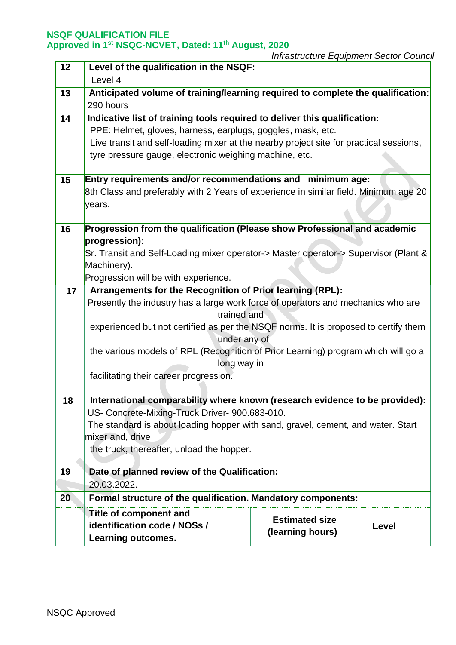| 12 | Level of the qualification in the NSQF:                                                         |                       |       |  |  |
|----|-------------------------------------------------------------------------------------------------|-----------------------|-------|--|--|
|    | Level 4                                                                                         |                       |       |  |  |
| 13 | Anticipated volume of training/learning required to complete the qualification:                 |                       |       |  |  |
|    | 290 hours                                                                                       |                       |       |  |  |
| 14 | Indicative list of training tools required to deliver this qualification:                       |                       |       |  |  |
|    | PPE: Helmet, gloves, harness, earplugs, goggles, mask, etc.                                     |                       |       |  |  |
|    | Live transit and self-loading mixer at the nearby project site for practical sessions,          |                       |       |  |  |
|    | tyre pressure gauge, electronic weighing machine, etc.                                          |                       |       |  |  |
|    |                                                                                                 |                       |       |  |  |
| 15 | Entry requirements and/or recommendations and minimum age:                                      |                       |       |  |  |
|    | 8th Class and preferably with 2 Years of experience in similar field. Minimum age 20            |                       |       |  |  |
|    | years.                                                                                          |                       |       |  |  |
|    |                                                                                                 |                       |       |  |  |
| 16 | Progression from the qualification (Please show Professional and academic                       |                       |       |  |  |
|    | progression):                                                                                   |                       |       |  |  |
|    | Sr. Transit and Self-Loading mixer operator-> Master operator-> Supervisor (Plant &             |                       |       |  |  |
|    | Machinery).                                                                                     |                       |       |  |  |
|    | Progression will be with experience.                                                            |                       |       |  |  |
| 17 | Arrangements for the Recognition of Prior learning (RPL):                                       |                       |       |  |  |
|    | Presently the industry has a large work force of operators and mechanics who are<br>trained and |                       |       |  |  |
|    | experienced but not certified as per the NSQF norms. It is proposed to certify them             |                       |       |  |  |
|    | under any of                                                                                    |                       |       |  |  |
|    | the various models of RPL (Recognition of Prior Learning) program which will go a               |                       |       |  |  |
|    | long way in                                                                                     |                       |       |  |  |
|    | facilitating their career progression.                                                          |                       |       |  |  |
|    |                                                                                                 |                       |       |  |  |
| 18 | International comparability where known (research evidence to be provided):                     |                       |       |  |  |
|    | US- Concrete-Mixing-Truck Driver- 900.683-010.                                                  |                       |       |  |  |
|    | The standard is about loading hopper with sand, gravel, cement, and water. Start                |                       |       |  |  |
|    | mixer and, drive                                                                                |                       |       |  |  |
|    | the truck, thereafter, unload the hopper.                                                       |                       |       |  |  |
|    |                                                                                                 |                       |       |  |  |
| 19 | Date of planned review of the Qualification:                                                    |                       |       |  |  |
|    | 20.03.2022.                                                                                     |                       |       |  |  |
| 20 | Formal structure of the qualification. Mandatory components:                                    |                       |       |  |  |
|    | <b>Title of component and</b>                                                                   | <b>Estimated size</b> |       |  |  |
|    | identification code / NOSs /                                                                    | (learning hours)      | Level |  |  |
|    | <b>Learning outcomes.</b>                                                                       |                       |       |  |  |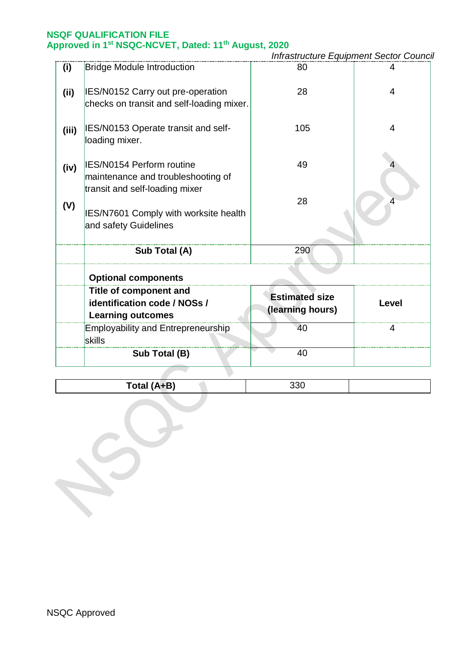*Infrastructure Equipment Sector Council*

| (i)   | <b>Bridge Module Introduction</b>                                                                 | 80                                        | 4     |
|-------|---------------------------------------------------------------------------------------------------|-------------------------------------------|-------|
| (ii)  | IES/N0152 Carry out pre-operation<br>checks on transit and self-loading mixer.                    | 28                                        | 4     |
| (iii) | IES/N0153 Operate transit and self-<br>loading mixer.                                             | 105                                       | 4     |
| (iv)  | IES/N0154 Perform routine<br>maintenance and troubleshooting of<br>transit and self-loading mixer | 49                                        |       |
| (V)   | <b>IES/N7601 Comply with worksite health</b><br>and safety Guidelines                             | 28                                        |       |
|       | Sub Total (A)                                                                                     | 290                                       |       |
|       | <b>Optional components</b>                                                                        |                                           |       |
|       | <b>Title of component and</b><br>identification code / NOSs /<br><b>Learning outcomes</b>         | <b>Estimated size</b><br>(learning hours) | Level |
|       | <b>Employability and Entrepreneurship</b><br>skills                                               | 40                                        | 4     |
|       | Sub Total (B)                                                                                     | 40                                        |       |
|       |                                                                                                   |                                           |       |

Total (A+B) 330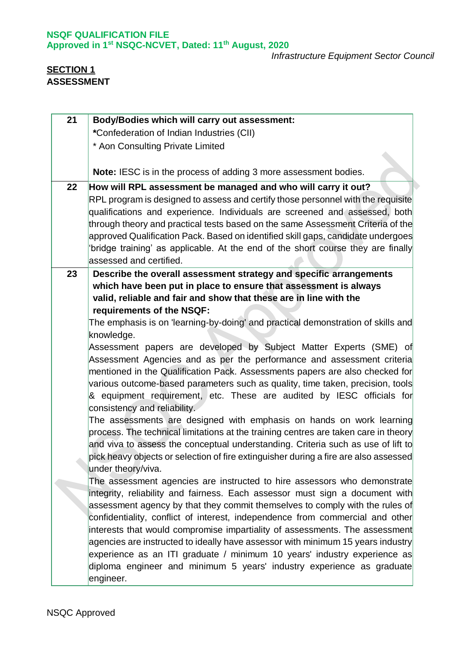# **SECTION 1 ASSESSMENT**

| 21 | <b>Body/Bodies which will carry out assessment:</b>                                                                                                                                                                                                                                                                                                                                                                                                 |
|----|-----------------------------------------------------------------------------------------------------------------------------------------------------------------------------------------------------------------------------------------------------------------------------------------------------------------------------------------------------------------------------------------------------------------------------------------------------|
|    | *Confederation of Indian Industries (CII)                                                                                                                                                                                                                                                                                                                                                                                                           |
|    | * Aon Consulting Private Limited                                                                                                                                                                                                                                                                                                                                                                                                                    |
|    |                                                                                                                                                                                                                                                                                                                                                                                                                                                     |
|    | <b>Note:</b> IESC is in the process of adding 3 more assessment bodies.                                                                                                                                                                                                                                                                                                                                                                             |
| 22 | How will RPL assessment be managed and who will carry it out?                                                                                                                                                                                                                                                                                                                                                                                       |
|    | RPL program is designed to assess and certify those personnel with the requisite<br>qualifications and experience. Individuals are screened and assessed, both<br>through theory and practical tests based on the same Assessment Criteria of the<br>approved Qualification Pack. Based on identified skill gaps, candidate undergoes<br>bridge training' as applicable. At the end of the short course they are finally<br>assessed and certified. |
| 23 | Describe the overall assessment strategy and specific arrangements                                                                                                                                                                                                                                                                                                                                                                                  |
|    | which have been put in place to ensure that assessment is always                                                                                                                                                                                                                                                                                                                                                                                    |
|    | valid, reliable and fair and show that these are in line with the                                                                                                                                                                                                                                                                                                                                                                                   |
|    | requirements of the NSQF:                                                                                                                                                                                                                                                                                                                                                                                                                           |
|    | The emphasis is on 'learning-by-doing' and practical demonstration of skills and                                                                                                                                                                                                                                                                                                                                                                    |
|    | knowledge.                                                                                                                                                                                                                                                                                                                                                                                                                                          |
|    | Assessment papers are developed by Subject Matter Experts (SME) of<br>Assessment Agencies and as per the performance and assessment criteria<br>mentioned in the Qualification Pack. Assessments papers are also checked for<br>various outcome-based parameters such as quality, time taken, precision, tools<br>& equipment requirement, etc. These are audited by IESC officials for<br>consistency and reliability.                             |
|    | The assessments are designed with emphasis on hands on work learning<br>process. The technical limitations at the training centres are taken care in theory<br>and viva to assess the conceptual understanding. Criteria such as use of lift to<br>pick heavy objects or selection of fire extinguisher during a fire are also assessed<br>under theory/viva.                                                                                       |
|    | The assessment agencies are instructed to hire assessors who demonstrate                                                                                                                                                                                                                                                                                                                                                                            |
|    | integrity, reliability and fairness. Each assessor must sign a document with<br>assessment agency by that they commit themselves to comply with the rules of<br>confidentiality, conflict of interest, independence from commercial and other<br>interests that would compromise impartiality of assessments. The assessment<br>agencies are instructed to ideally have assessor with minimum 15 years industry                                     |
|    | experience as an ITI graduate / minimum 10 years' industry experience as<br>diploma engineer and minimum 5 years' industry experience as graduate<br>engineer.                                                                                                                                                                                                                                                                                      |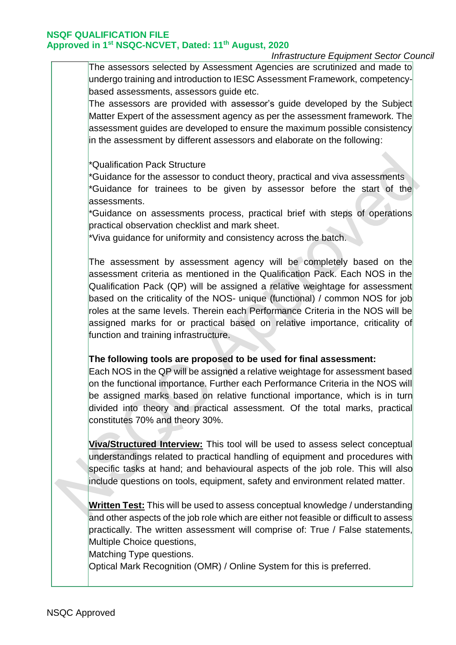## *Infrastructure Equipment Sector Council*

The assessors selected by Assessment Agencies are scrutinized and made to undergo training and introduction to IESC Assessment Framework, competencybased assessments, assessors guide etc.

The assessors are provided with assessor's guide developed by the Subject Matter Expert of the assessment agency as per the assessment framework. The assessment guides are developed to ensure the maximum possible consistency in the assessment by different assessors and elaborate on the following:

#### \*Qualification Pack Structure

\*Guidance for the assessor to conduct theory, practical and viva assessments \*Guidance for trainees to be given by assessor before the start of the assessments.

\*Guidance on assessments process, practical brief with steps of operations practical observation checklist and mark sheet.

\*Viva guidance for uniformity and consistency across the batch.

The assessment by assessment agency will be completely based on the assessment criteria as mentioned in the Qualification Pack. Each NOS in the Qualification Pack (QP) will be assigned a relative weightage for assessment based on the criticality of the NOS- unique (functional) / common NOS for job roles at the same levels. Therein each Performance Criteria in the NOS will be assigned marks for or practical based on relative importance, criticality of function and training infrastructure.

#### **The following tools are proposed to be used for final assessment:**

Each NOS in the QP will be assigned a relative weightage for assessment based on the functional importance. Further each Performance Criteria in the NOS will be assigned marks based on relative functional importance, which is in turn divided into theory and practical assessment. Of the total marks, practical constitutes 70% and theory 30%.

**Viva/Structured Interview:** This tool will be used to assess select conceptual understandings related to practical handling of equipment and procedures with specific tasks at hand; and behavioural aspects of the job role. This will also include questions on tools, equipment, safety and environment related matter.

**Written Test:** This will be used to assess conceptual knowledge / understanding and other aspects of the job role which are either not feasible or difficult to assess practically. The written assessment will comprise of: True / False statements, Multiple Choice questions,

Matching Type questions.

Optical Mark Recognition (OMR) / Online System for this is preferred.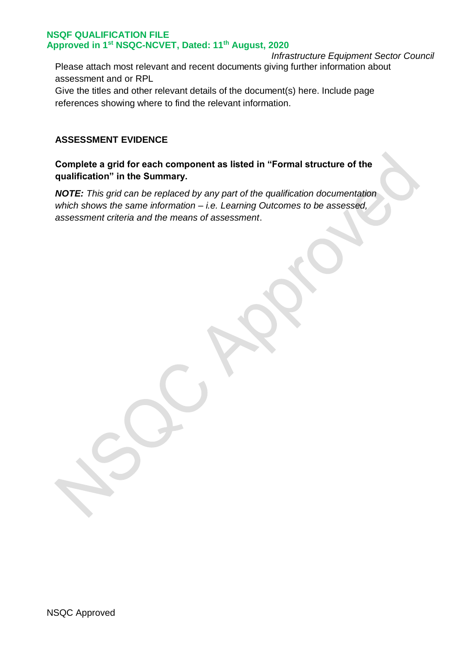*Infrastructure Equipment Sector Council* Please attach most relevant and recent documents giving further information about assessment and or RPL

Give the titles and other relevant details of the document(s) here. Include page references showing where to find the relevant information.

# **ASSESSMENT EVIDENCE**

# **Complete a grid for each component as listed in "Formal structure of the qualification" in the Summary.**

*NOTE: This grid can be replaced by any part of the qualification documentation which shows the same information – i.e. Learning Outcomes to be assessed, assessment criteria and the means of assessment*.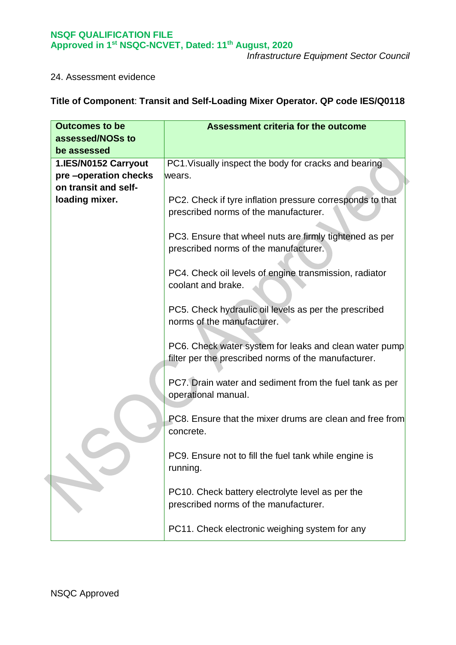*Infrastructure Equipment Sector Council*

#### 24. Assessment evidence

# **Title of Component**: **Transit and Self-Loading Mixer Operator. QP code IES/Q0118**

| <b>Outcomes to be</b><br>assessed/NOSs to<br>be assessed             | <b>Assessment criteria for the outcome</b>                                                                     |
|----------------------------------------------------------------------|----------------------------------------------------------------------------------------------------------------|
| 1.IES/N0152 Carryout<br>pre-operation checks<br>on transit and self- | PC1. Visually inspect the body for cracks and bearing<br>wears.                                                |
| loading mixer.                                                       | PC2. Check if tyre inflation pressure corresponds to that<br>prescribed norms of the manufacturer.             |
|                                                                      | PC3. Ensure that wheel nuts are firmly tightened as per<br>prescribed norms of the manufacturer.               |
|                                                                      | PC4. Check oil levels of engine transmission, radiator<br>coolant and brake.                                   |
|                                                                      | PC5. Check hydraulic oil levels as per the prescribed<br>norms of the manufacturer.                            |
|                                                                      | PC6. Check water system for leaks and clean water pump<br>filter per the prescribed norms of the manufacturer. |
|                                                                      | PC7. Drain water and sediment from the fuel tank as per<br>operational manual.                                 |
|                                                                      | <b>PC8.</b> Ensure that the mixer drums are clean and free from<br>concrete.                                   |
|                                                                      | PC9. Ensure not to fill the fuel tank while engine is<br>running.                                              |
|                                                                      | PC10. Check battery electrolyte level as per the<br>prescribed norms of the manufacturer.                      |
|                                                                      | PC11. Check electronic weighing system for any                                                                 |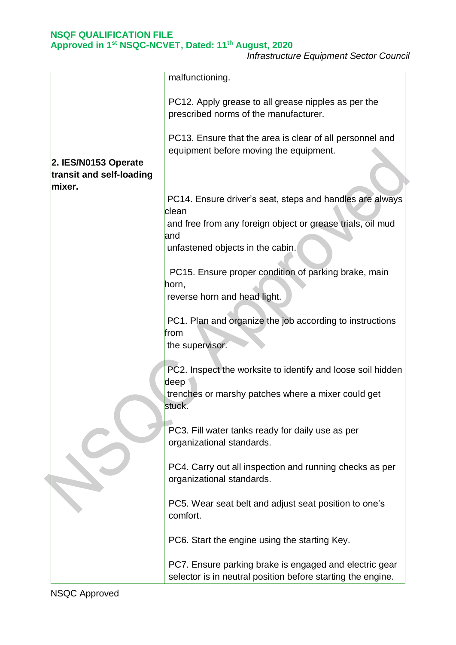*Infrastructure Equipment Sector Council*

|                                                  | malfunctioning.                                                                                                                                                            |
|--------------------------------------------------|----------------------------------------------------------------------------------------------------------------------------------------------------------------------------|
|                                                  | PC12. Apply grease to all grease nipples as per the<br>prescribed norms of the manufacturer.                                                                               |
| 2. IES/N0153 Operate<br>transit and self-loading | PC13. Ensure that the area is clear of all personnel and<br>equipment before moving the equipment.                                                                         |
| mixer.                                           | PC14. Ensure driver's seat, steps and handles are always<br>clean<br>and free from any foreign object or grease trials, oil mud<br>and<br>unfastened objects in the cabin. |
|                                                  | PC15. Ensure proper condition of parking brake, main<br>horn,<br>reverse horn and head light.                                                                              |
|                                                  | PC1. Plan and organize the job according to instructions<br>from<br>the supervisor.                                                                                        |
|                                                  | PC2. Inspect the worksite to identify and loose soil hidden<br>deep<br>trenches or marshy patches where a mixer could get<br>stuck.                                        |
|                                                  | PC3. Fill water tanks ready for daily use as per<br>organizational standards.                                                                                              |
|                                                  | PC4. Carry out all inspection and running checks as per<br>organizational standards.                                                                                       |
|                                                  | PC5. Wear seat belt and adjust seat position to one's<br>comfort.                                                                                                          |
|                                                  | PC6. Start the engine using the starting Key.                                                                                                                              |
|                                                  | PC7. Ensure parking brake is engaged and electric gear<br>selector is in neutral position before starting the engine.                                                      |

NSQC Approved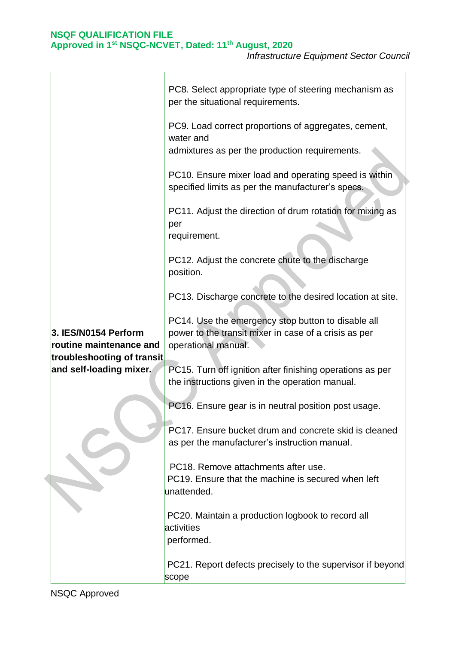|                                                       | PC8. Select appropriate type of steering mechanism as<br>per the situational requirements.                                         |
|-------------------------------------------------------|------------------------------------------------------------------------------------------------------------------------------------|
|                                                       | PC9. Load correct proportions of aggregates, cement,<br>water and<br>admixtures as per the production requirements.                |
|                                                       | PC10. Ensure mixer load and operating speed is within<br>specified limits as per the manufacturer's specs.                         |
|                                                       | PC11. Adjust the direction of drum rotation for mixing as<br>per<br>requirement.                                                   |
|                                                       | PC12. Adjust the concrete chute to the discharge<br>position.                                                                      |
|                                                       | PC13. Discharge concrete to the desired location at site.                                                                          |
| 3. IES/N0154 Perform<br>routine maintenance and       | PC14. Use the emergency stop button to disable all<br>power to the transit mixer in case of a crisis as per<br>operational manual. |
| troubleshooting of transit<br>and self-loading mixer. | PC15. Turn off ignition after finishing operations as per<br>the instructions given in the operation manual.                       |
|                                                       | PC16. Ensure gear is in neutral position post usage.                                                                               |
|                                                       | PC17. Ensure bucket drum and concrete skid is cleaned<br>as per the manufacturer's instruction manual.                             |
|                                                       | PC18. Remove attachments after use.<br>PC19. Ensure that the machine is secured when left<br>unattended.                           |
|                                                       | PC20. Maintain a production logbook to record all<br>activities<br>performed.                                                      |
|                                                       | PC21. Report defects precisely to the supervisor if beyond<br>scope                                                                |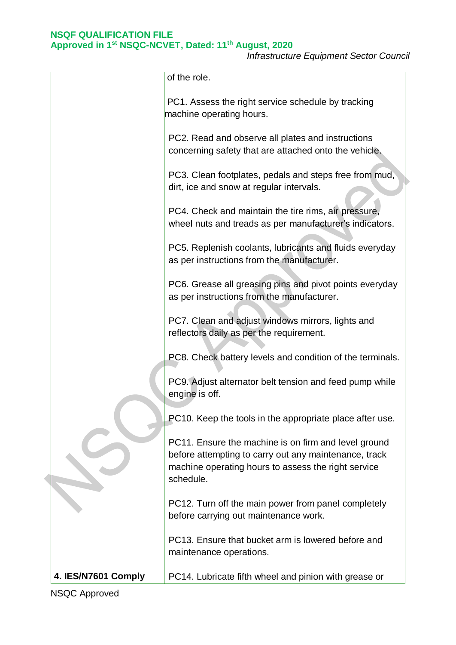*Infrastructure Equipment Sector Council*

|                     | of the role.                                                                                                                                                                      |
|---------------------|-----------------------------------------------------------------------------------------------------------------------------------------------------------------------------------|
|                     | PC1. Assess the right service schedule by tracking<br>machine operating hours.                                                                                                    |
|                     | PC2. Read and observe all plates and instructions<br>concerning safety that are attached onto the vehicle.                                                                        |
|                     | PC3. Clean footplates, pedals and steps free from mud,<br>dirt, ice and snow at regular intervals.                                                                                |
|                     | PC4. Check and maintain the tire rims, air pressure,<br>wheel nuts and treads as per manufacturer's indicators.                                                                   |
|                     | PC5. Replenish coolants, lubricants and fluids everyday<br>as per instructions from the manufacturer.                                                                             |
|                     | PC6. Grease all greasing pins and pivot points everyday<br>as per instructions from the manufacturer.                                                                             |
|                     | PC7. Clean and adjust windows mirrors, lights and<br>reflectors daily as per the requirement.                                                                                     |
|                     | PC8. Check battery levels and condition of the terminals.                                                                                                                         |
|                     | PC9. Adjust alternator belt tension and feed pump while<br>engine is off.                                                                                                         |
|                     | PC10. Keep the tools in the appropriate place after use.                                                                                                                          |
|                     | PC11. Ensure the machine is on firm and level ground<br>before attempting to carry out any maintenance, track<br>machine operating hours to assess the right service<br>schedule. |
|                     | PC12. Turn off the main power from panel completely<br>before carrying out maintenance work.                                                                                      |
|                     | PC13. Ensure that bucket arm is lowered before and<br>maintenance operations.                                                                                                     |
| 4. IES/N7601 Comply | PC14. Lubricate fifth wheel and pinion with grease or                                                                                                                             |

NSQC Approved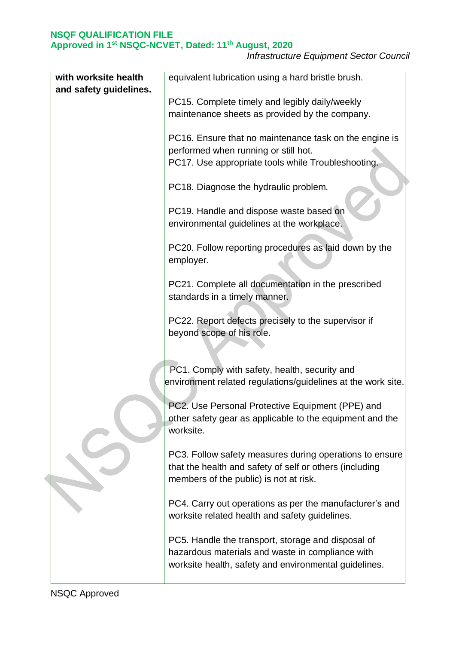*Infrastructure Equipment Sector Council*

| with worksite health   | equivalent lubrication using a hard bristle brush.                                                                                                              |
|------------------------|-----------------------------------------------------------------------------------------------------------------------------------------------------------------|
| and safety guidelines. | PC15. Complete timely and legibly daily/weekly                                                                                                                  |
|                        | maintenance sheets as provided by the company.                                                                                                                  |
|                        | PC16. Ensure that no maintenance task on the engine is<br>performed when running or still hot.<br>PC17. Use appropriate tools while Troubleshooting.            |
|                        | PC18. Diagnose the hydraulic problem.                                                                                                                           |
|                        | PC19. Handle and dispose waste based on<br>environmental guidelines at the workplace.                                                                           |
|                        | PC20. Follow reporting procedures as laid down by the<br>employer.                                                                                              |
|                        | PC21. Complete all documentation in the prescribed<br>standards in a timely manner.                                                                             |
|                        | PC22. Report defects precisely to the supervisor if<br>beyond scope of his role.                                                                                |
|                        | PC1. Comply with safety, health, security and<br>environment related regulations/guidelines at the work site.                                                   |
|                        | PC2. Use Personal Protective Equipment (PPE) and<br>other safety gear as applicable to the equipment and the<br>worksite.                                       |
|                        | PC3. Follow safety measures during operations to ensure<br>that the health and safety of self or others (including<br>members of the public) is not at risk.    |
|                        | PC4. Carry out operations as per the manufacturer's and<br>worksite related health and safety guidelines.                                                       |
|                        | PC5. Handle the transport, storage and disposal of<br>hazardous materials and waste in compliance with<br>worksite health, safety and environmental guidelines. |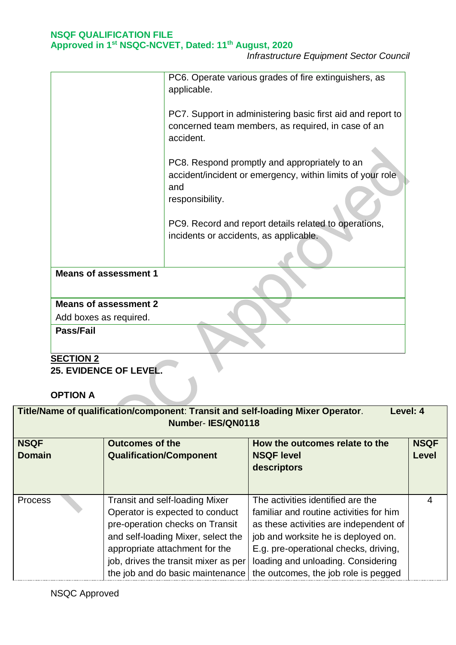*Infrastructure Equipment Sector Council*

|                                                        | PC6. Operate various grades of fire extinguishers, as<br>applicable.                                                                  |
|--------------------------------------------------------|---------------------------------------------------------------------------------------------------------------------------------------|
|                                                        | PC7. Support in administering basic first aid and report to<br>concerned team members, as required, in case of an<br>accident.        |
|                                                        | PC8. Respond promptly and appropriately to an<br>accident/incident or emergency, within limits of your role<br>and<br>responsibility. |
|                                                        | PC9. Record and report details related to operations,<br>incidents or accidents, as applicable.                                       |
| <b>Means of assessment 1</b>                           |                                                                                                                                       |
| <b>Means of assessment 2</b><br>Add boxes as required. |                                                                                                                                       |
| Pass/Fail                                              |                                                                                                                                       |

# **SECTION 2**

**25. EVIDENCE OF LEVEL.**

**OPTION A**

| Title/Name of qualification/component: Transit and self-loading Mixer Operator.<br>Level: 4<br>Number-IES/QN0118 |                                                                                                                                                                                                                                                                 |                                                                                                                                                                                                                                                                                      |                             |  |  |
|------------------------------------------------------------------------------------------------------------------|-----------------------------------------------------------------------------------------------------------------------------------------------------------------------------------------------------------------------------------------------------------------|--------------------------------------------------------------------------------------------------------------------------------------------------------------------------------------------------------------------------------------------------------------------------------------|-----------------------------|--|--|
| <b>NSQF</b><br><b>Domain</b>                                                                                     | <b>Outcomes of the</b><br><b>Qualification/Component</b>                                                                                                                                                                                                        | How the outcomes relate to the<br><b>NSQF level</b><br>descriptors                                                                                                                                                                                                                   | <b>NSQF</b><br><b>Level</b> |  |  |
| <b>Process</b>                                                                                                   | <b>Transit and self-loading Mixer</b><br>Operator is expected to conduct<br>pre-operation checks on Transit<br>and self-loading Mixer, select the<br>appropriate attachment for the<br>job, drives the transit mixer as per<br>the job and do basic maintenance | The activities identified are the<br>familiar and routine activities for him<br>as these activities are independent of<br>job and worksite he is deployed on.<br>E.g. pre-operational checks, driving,<br>loading and unloading. Considering<br>the outcomes, the job role is pegged | 4                           |  |  |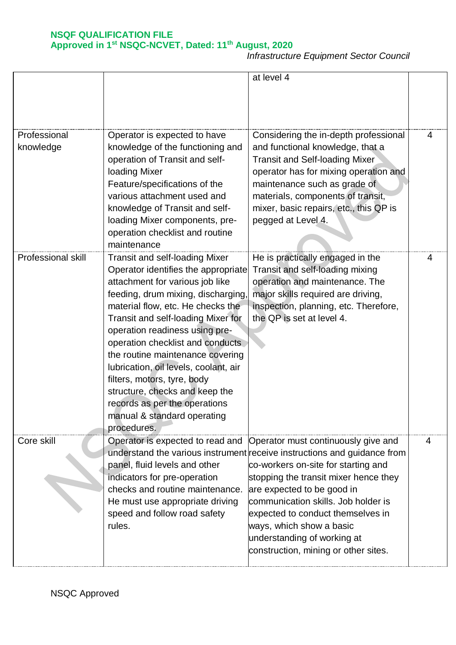*Infrastructure Equipment Sector Council*

|                           |                                                                                                                                                                                                                                                                                                                                                                                                                                                                                                                                     | at level 4                                                                                                                                                                                                                                                                                                                                                                                                   |   |
|---------------------------|-------------------------------------------------------------------------------------------------------------------------------------------------------------------------------------------------------------------------------------------------------------------------------------------------------------------------------------------------------------------------------------------------------------------------------------------------------------------------------------------------------------------------------------|--------------------------------------------------------------------------------------------------------------------------------------------------------------------------------------------------------------------------------------------------------------------------------------------------------------------------------------------------------------------------------------------------------------|---|
| Professional<br>knowledge | Operator is expected to have<br>knowledge of the functioning and<br>operation of Transit and self-<br>loading Mixer<br>Feature/specifications of the<br>various attachment used and<br>knowledge of Transit and self-<br>loading Mixer components, pre-<br>operation checklist and routine<br>maintenance                                                                                                                                                                                                                           | Considering the in-depth professional<br>and functional knowledge, that a<br><b>Transit and Self-loading Mixer</b><br>operator has for mixing operation and<br>maintenance such as grade of<br>materials, components of transit,<br>mixer, basic repairs, etc., this QP is<br>pegged at Level 4.                                                                                                             | 4 |
| Professional skill        | <b>Transit and self-loading Mixer</b><br>Operator identifies the appropriate<br>attachment for various job like<br>feeding, drum mixing, discharging,<br>material flow, etc. He checks the<br>Transit and self-loading Mixer for<br>operation readiness using pre-<br>operation checklist and conducts<br>the routine maintenance covering<br>lubrication, oil levels, coolant, air<br>filters, motors, tyre, body<br>structure, checks and keep the<br>records as per the operations<br>manual & standard operating<br>procedures. | He is practically engaged in the<br>Transit and self-loading mixing<br>operation and maintenance. The<br>major skills required are driving,<br>inspection, planning, etc. Therefore,<br>the QP is set at level 4.                                                                                                                                                                                            | 4 |
| Core skill                | Operator is expected to read and<br>panel, fluid levels and other<br>indicators for pre-operation<br>checks and routine maintenance.<br>He must use appropriate driving<br>speed and follow road safety<br>rules.                                                                                                                                                                                                                                                                                                                   | Operator must continuously give and<br>understand the various instrument receive instructions and guidance from<br>co-workers on-site for starting and<br>stopping the transit mixer hence they<br>are expected to be good in<br>communication skills. Job holder is<br>expected to conduct themselves in<br>ways, which show a basic<br>understanding of working at<br>construction, mining or other sites. | 4 |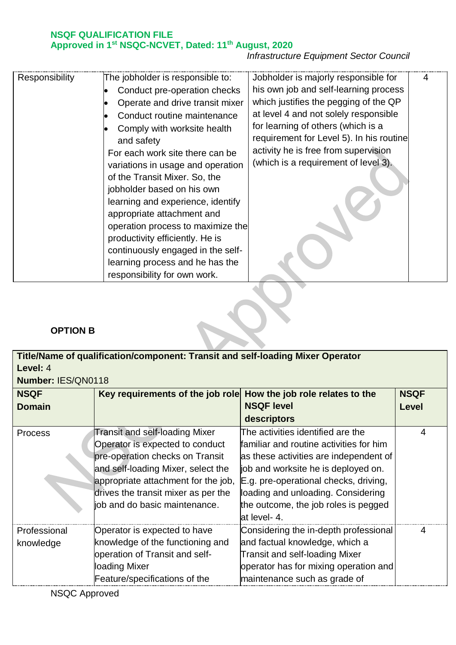# *Infrastructure Equipment Sector Council*

| Responsibility | The jobholder is responsible to:<br>Conduct pre-operation checks<br>Operate and drive transit mixer<br>Conduct routine maintenance<br>Comply with worksite health<br>and safety<br>For each work site there can be<br>variations in usage and operation<br>of the Transit Mixer. So, the<br>jobholder based on his own<br>learning and experience, identify<br>appropriate attachment and<br>operation process to maximize the<br>productivity efficiently. He is<br>continuously engaged in the self-<br>learning process and he has the<br>responsibility for own work. | Jobholder is majorly responsible for<br>his own job and self-learning process<br>which justifies the pegging of the QP<br>at level 4 and not solely responsible<br>for learning of others (which is a<br>requirement for Level 5). In his routine<br>activity he is free from supervision<br>(which is a requirement of level 3). |  |
|----------------|---------------------------------------------------------------------------------------------------------------------------------------------------------------------------------------------------------------------------------------------------------------------------------------------------------------------------------------------------------------------------------------------------------------------------------------------------------------------------------------------------------------------------------------------------------------------------|-----------------------------------------------------------------------------------------------------------------------------------------------------------------------------------------------------------------------------------------------------------------------------------------------------------------------------------|--|
|----------------|---------------------------------------------------------------------------------------------------------------------------------------------------------------------------------------------------------------------------------------------------------------------------------------------------------------------------------------------------------------------------------------------------------------------------------------------------------------------------------------------------------------------------------------------------------------------------|-----------------------------------------------------------------------------------------------------------------------------------------------------------------------------------------------------------------------------------------------------------------------------------------------------------------------------------|--|

# **OPTION B**

| Title/Name of qualification/component: Transit and self-loading Mixer Operator |                                                                                                                                                                                                                                                           |                                                                                                                                                                                                                                                                                                      |              |
|--------------------------------------------------------------------------------|-----------------------------------------------------------------------------------------------------------------------------------------------------------------------------------------------------------------------------------------------------------|------------------------------------------------------------------------------------------------------------------------------------------------------------------------------------------------------------------------------------------------------------------------------------------------------|--------------|
| Level: 4                                                                       |                                                                                                                                                                                                                                                           |                                                                                                                                                                                                                                                                                                      |              |
|                                                                                | Number: IES/QN0118                                                                                                                                                                                                                                        |                                                                                                                                                                                                                                                                                                      |              |
| <b>NSQF</b>                                                                    | Key requirements of the job role                                                                                                                                                                                                                          | How the job role relates to the                                                                                                                                                                                                                                                                      | <b>NSQF</b>  |
| <b>Domain</b>                                                                  |                                                                                                                                                                                                                                                           | <b>NSQF level</b>                                                                                                                                                                                                                                                                                    | <b>Level</b> |
|                                                                                |                                                                                                                                                                                                                                                           | descriptors                                                                                                                                                                                                                                                                                          |              |
| <b>Process</b>                                                                 | Transit and self-loading Mixer<br>Operator is expected to conduct<br>pre-operation checks on Transit<br>and self-loading Mixer, select the<br>appropriate attachment for the job,<br>drives the transit mixer as per the<br>job and do basic maintenance. | The activities identified are the<br>familiar and routine activities for him<br>as these activities are independent of<br>job and worksite he is deployed on.<br>E.g. pre-operational checks, driving,<br>loading and unloading. Considering<br>the outcome, the job roles is pegged<br>at level- 4. | 4            |
| Professional<br>knowledge                                                      | Operator is expected to have<br>knowledge of the functioning and<br>operation of Transit and self-<br>loading Mixer<br>Feature/specifications of the                                                                                                      | Considering the in-depth professional<br>and factual knowledge, which a<br>Transit and self-loading Mixer<br>operator has for mixing operation and<br>maintenance such as grade of                                                                                                                   | 4            |

<u>and the set of the set of the set of the set of the set of the set of the set of the set of the set of the set of the set of the set of the set of the set of the set of the set of the set of the set of the set of the set </u>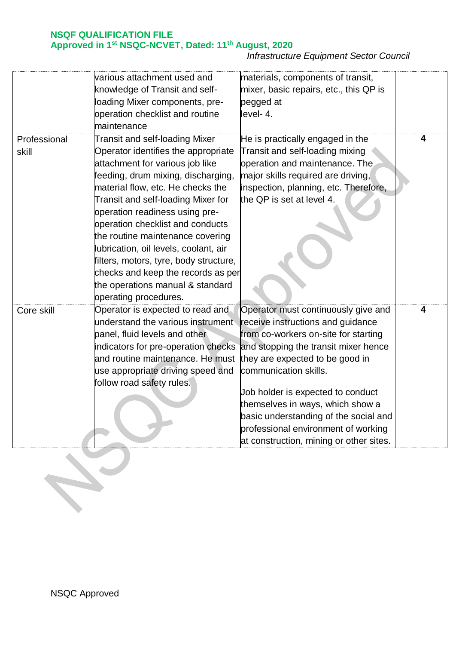*Infrastructure Equipment Sector Council*

|              | various attachment used and                                          | materials, components of transit,       |   |
|--------------|----------------------------------------------------------------------|-----------------------------------------|---|
|              | knowledge of Transit and self-                                       | mixer, basic repairs, etc., this QP is  |   |
|              | loading Mixer components, pre-                                       | pegged at                               |   |
|              | operation checklist and routine                                      | level-4.                                |   |
|              | maintenance                                                          |                                         |   |
| Professional | Transit and self-loading Mixer                                       | He is practically engaged in the        |   |
| skill        | Operator identifies the appropriate                                  | Transit and self-loading mixing         |   |
|              | attachment for various job like                                      | operation and maintenance. The          |   |
|              | feeding, drum mixing, discharging,                                   | major skills required are driving,      |   |
|              | material flow, etc. He checks the                                    | inspection, planning, etc. Therefore,   |   |
|              | Transit and self-loading Mixer for                                   | the QP is set at level 4.               |   |
|              | operation readiness using pre-                                       |                                         |   |
|              |                                                                      |                                         |   |
|              | operation checklist and conducts<br>the routine maintenance covering |                                         |   |
|              | lubrication, oil levels, coolant, air                                |                                         |   |
|              |                                                                      |                                         |   |
|              | filters, motors, tyre, body structure,                               |                                         |   |
|              | checks and keep the records as per                                   |                                         |   |
|              | the operations manual & standard                                     |                                         |   |
|              | operating procedures.                                                |                                         |   |
| Core skill   | Operator is expected to read and                                     | Operator must continuously give and     | 4 |
|              | understand the various instrument                                    | receive instructions and guidance       |   |
|              | panel, fluid levels and other                                        | from co-workers on-site for starting    |   |
|              | indicators for pre-operation checks                                  | and stopping the transit mixer hence    |   |
|              | and routine maintenance. He must                                     | they are expected to be good in         |   |
|              | use appropriate driving speed and                                    | communication skills.                   |   |
|              | follow road safety rules.                                            | Job holder is expected to conduct       |   |
|              |                                                                      | themselves in ways, which show a        |   |
|              |                                                                      | basic understanding of the social and   |   |
|              |                                                                      | professional environment of working     |   |
|              |                                                                      |                                         |   |
|              |                                                                      | at construction, mining or other sites. |   |
|              |                                                                      |                                         |   |
|              |                                                                      |                                         |   |
|              |                                                                      |                                         |   |
|              |                                                                      |                                         |   |
|              |                                                                      |                                         |   |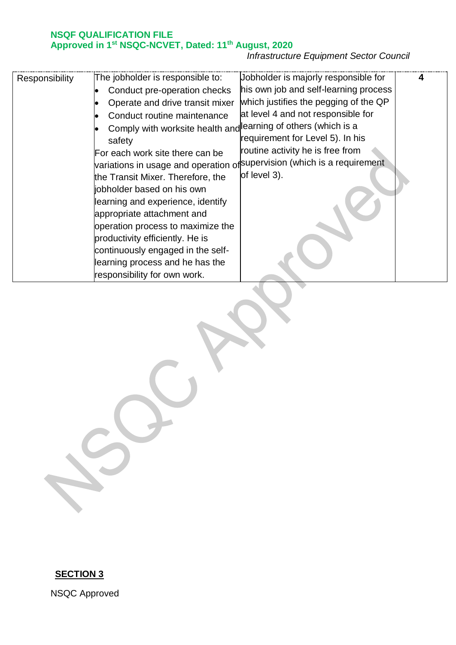# *Infrastructure Equipment Sector Council*

| Responsibility | The jobholder is responsible to:<br>Conduct pre-operation checks<br>Operate and drive transit mixer<br>Conduct routine maintenance<br>Comply with worksite health and learning of others (which is a<br>safety<br>For each work site there can be<br>the Transit Mixer. Therefore, the<br>jobholder based on his own<br>learning and experience, identify<br>appropriate attachment and<br>operation process to maximize the<br>productivity efficiently. He is<br>continuously engaged in the self-<br>learning process and he has the<br>responsibility for own work. | Jobholder is majorly responsible for<br>his own job and self-learning process<br>which justifies the pegging of the QP<br>at level 4 and not responsible for<br>requirement for Level 5). In his<br>routine activity he is free from<br>variations in usage and operation of <sup>supervision (which is a requirement</sup><br>of level 3). |  |
|----------------|-------------------------------------------------------------------------------------------------------------------------------------------------------------------------------------------------------------------------------------------------------------------------------------------------------------------------------------------------------------------------------------------------------------------------------------------------------------------------------------------------------------------------------------------------------------------------|---------------------------------------------------------------------------------------------------------------------------------------------------------------------------------------------------------------------------------------------------------------------------------------------------------------------------------------------|--|
|----------------|-------------------------------------------------------------------------------------------------------------------------------------------------------------------------------------------------------------------------------------------------------------------------------------------------------------------------------------------------------------------------------------------------------------------------------------------------------------------------------------------------------------------------------------------------------------------------|---------------------------------------------------------------------------------------------------------------------------------------------------------------------------------------------------------------------------------------------------------------------------------------------------------------------------------------------|--|

# **SECTION 3**

NSQC Approved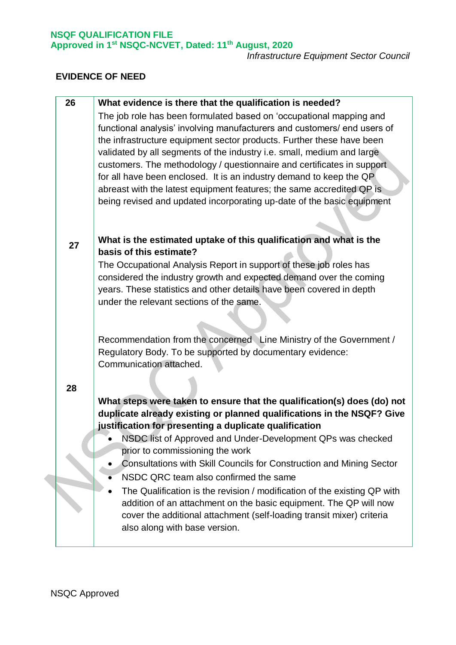*Infrastructure Equipment Sector Council*

# **EVIDENCE OF NEED**

| 26 | What evidence is there that the qualification is needed?                 |
|----|--------------------------------------------------------------------------|
|    | The job role has been formulated based on 'occupational mapping and      |
|    | functional analysis' involving manufacturers and customers/ end users of |
|    | the infrastructure equipment sector products. Further these have been    |
|    | validated by all segments of the industry i.e. small, medium and large   |
|    | customers. The methodology / questionnaire and certificates in support   |
|    | for all have been enclosed. It is an industry demand to keep the QP      |
|    | abreast with the latest equipment features; the same accredited QP is    |
|    | being revised and updated incorporating up-date of the basic equipment   |
|    |                                                                          |
|    |                                                                          |
| 27 | What is the estimated uptake of this qualification and what is the       |
|    | basis of this estimate?                                                  |
|    | The Occupational Analysis Report in support of these job roles has       |
|    | considered the industry growth and expected demand over the coming       |
|    | years. These statistics and other details have been covered in depth     |
|    | under the relevant sections of the same.                                 |
|    |                                                                          |
|    |                                                                          |
|    | Recommendation from the concerned Line Ministry of the Government /      |
|    | Regulatory Body. To be supported by documentary evidence:                |
|    | Communication attached.                                                  |
|    |                                                                          |
| 28 |                                                                          |
|    | What steps were taken to ensure that the qualification(s) does (do) not  |
|    | duplicate already existing or planned qualifications in the NSQF? Give   |
|    | justification for presenting a duplicate qualification                   |
|    | NSDC list of Approved and Under-Development QPs was checked              |
|    | prior to commissioning the work                                          |
|    | Consultations with Skill Councils for Construction and Mining Sector     |
|    | NSDC QRC team also confirmed the same                                    |
|    | The Qualification is the revision / modification of the existing QP with |
|    | addition of an attachment on the basic equipment. The QP will now        |
|    | cover the additional attachment (self-loading transit mixer) criteria    |
|    | also along with base version.                                            |
|    |                                                                          |